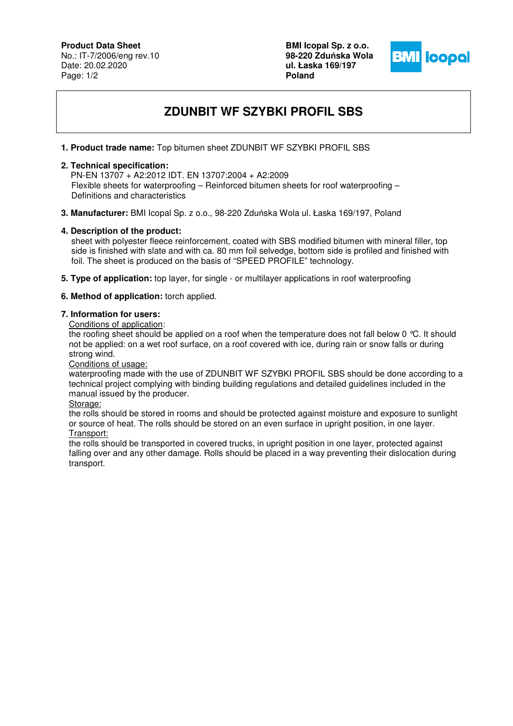## **Product Data Sheet**

No.: IT-7/2006/eng rev.10 Date: 20.02.2020 Page: 1/2

**BMI Icopal Sp. z o.o. 98-220 Zdu**ń**ska Wola ul. Łaska 169/197 Poland** 



# **ZDUNBIT WF SZYBKI PROFIL SBS**

### **1. Product trade name:** Top bitumen sheet ZDUNBIT WF SZYBKI PROFIL SBS

### **2. Technical specification:**

 PN-EN 13707 + A2:2012 IDT. EN 13707:2004 + A2:2009 Flexible sheets for waterproofing – Reinforced bitumen sheets for roof waterproofing – Definitions and characteristics

**3. Manufacturer:** BMI Icopal Sp. z o.o., 98-220 Zduńska Wola ul. Łaska 169/197, Poland

#### **4. Description of the product:**

 sheet with polyester fleece reinforcement, coated with SBS modified bitumen with mineral filler, top side is finished with slate and with ca. 80 mm foil selvedge, bottom side is profiled and finished with foil. The sheet is produced on the basis of "SPEED PROFILE" technology.

- **5. Type of application:** top layer, for single or multilayer applications in roof waterproofing
- **6. Method of application:** torch applied.

#### **7. Information for users:**

Conditions of application:

the roofing sheet should be applied on a roof when the temperature does not fall below 0 °C. It should not be applied: on a wet roof surface, on a roof covered with ice, during rain or snow falls or during strong wind.

Conditions of usage:

waterproofing made with the use of ZDUNBIT WF SZYBKI PROFIL SBS should be done according to a technical project complying with binding building regulations and detailed guidelines included in the manual issued by the producer.

Storage:

the rolls should be stored in rooms and should be protected against moisture and exposure to sunlight or source of heat. The rolls should be stored on an even surface in upright position, in one layer. Transport:

the rolls should be transported in covered trucks, in upright position in one layer, protected against falling over and any other damage. Rolls should be placed in a way preventing their dislocation during transport.